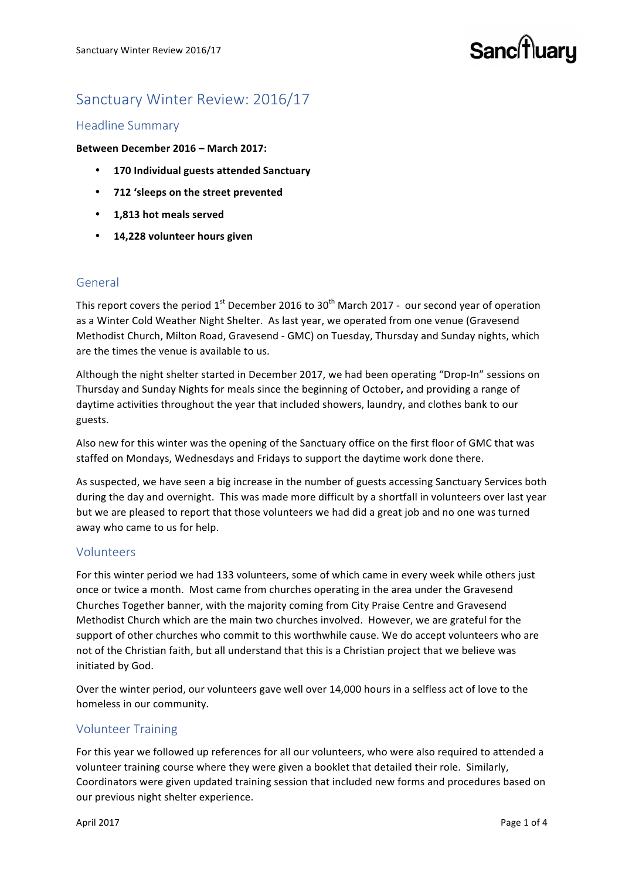# Sanc<sup>[†</sup>]uaru

# Sanctuary Winter Review: 2016/17

# Headline Summary

#### **Between December 2016 – March 2017:**

- **170 Individual guests attended Sanctuary**
- **712 'sleeps on the street prevented**
- **1,813 hot meals served**
- **14,228 volunteer hours given**

# General

This report covers the period  $1^{st}$  December 2016 to 30<sup>th</sup> March 2017 - our second year of operation as a Winter Cold Weather Night Shelter. As last year, we operated from one venue (Gravesend Methodist Church, Milton Road, Gravesend - GMC) on Tuesday, Thursday and Sunday nights, which are the times the venue is available to us.

Although the night shelter started in December 2017, we had been operating "Drop-In" sessions on Thursday and Sunday Nights for meals since the beginning of October, and providing a range of daytime activities throughout the year that included showers, laundry, and clothes bank to our guests. 

Also new for this winter was the opening of the Sanctuary office on the first floor of GMC that was staffed on Mondays, Wednesdays and Fridays to support the daytime work done there.

As suspected, we have seen a big increase in the number of guests accessing Sanctuary Services both during the day and overnight. This was made more difficult by a shortfall in volunteers over last year but we are pleased to report that those volunteers we had did a great job and no one was turned away who came to us for help.

#### Volunteers

For this winter period we had 133 volunteers, some of which came in every week while others just once or twice a month. Most came from churches operating in the area under the Gravesend Churches Together banner, with the majority coming from City Praise Centre and Gravesend Methodist Church which are the main two churches involved. However, we are grateful for the support of other churches who commit to this worthwhile cause. We do accept volunteers who are not of the Christian faith, but all understand that this is a Christian project that we believe was initiated by God.

Over the winter period, our volunteers gave well over 14,000 hours in a selfless act of love to the homeless in our community.

# Volunteer Training

For this year we followed up references for all our volunteers, who were also required to attended a volunteer training course where they were given a booklet that detailed their role. Similarly, Coordinators were given updated training session that included new forms and procedures based on our previous night shelter experience.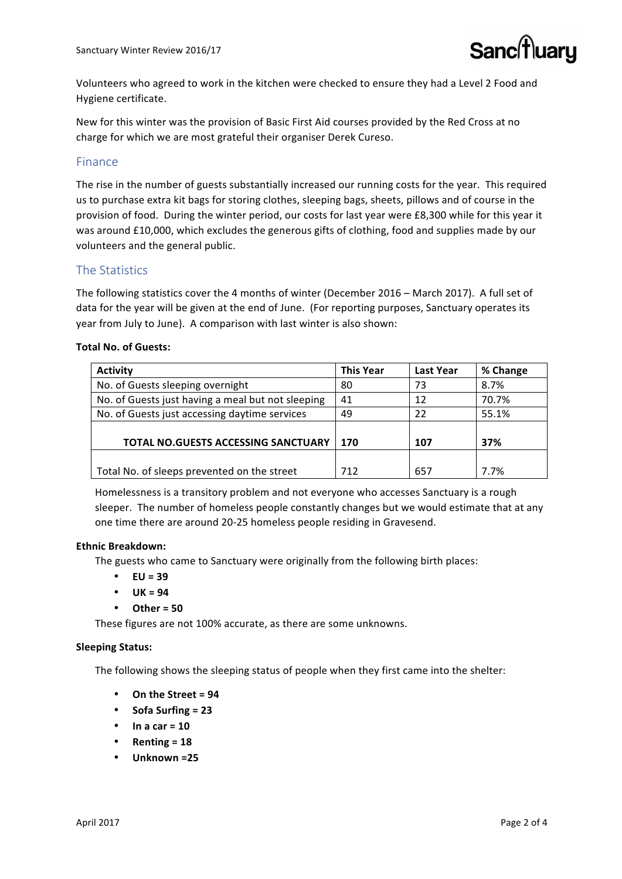

Volunteers who agreed to work in the kitchen were checked to ensure they had a Level 2 Food and Hygiene certificate.

New for this winter was the provision of Basic First Aid courses provided by the Red Cross at no charge for which we are most grateful their organiser Derek Cureso.

# Finance

The rise in the number of guests substantially increased our running costs for the year. This required us to purchase extra kit bags for storing clothes, sleeping bags, sheets, pillows and of course in the provision of food. During the winter period, our costs for last year were £8,300 while for this year it was around £10,000, which excludes the generous gifts of clothing, food and supplies made by our volunteers and the general public.

# The Statistics

The following statistics cover the 4 months of winter (December 2016 – March 2017). A full set of data for the year will be given at the end of June. (For reporting purposes, Sanctuary operates its year from July to June). A comparison with last winter is also shown:

#### **Total No. of Guests:**

| <b>Activity</b>                                   | <b>This Year</b> | <b>Last Year</b> | % Change |
|---------------------------------------------------|------------------|------------------|----------|
| No. of Guests sleeping overnight                  | 80               | 73               | 8.7%     |
| No. of Guests just having a meal but not sleeping | 41               | 12               | 70.7%    |
| No. of Guests just accessing daytime services     | 49               | 22               | 55.1%    |
|                                                   |                  |                  |          |
| TOTAL NO.GUESTS ACCESSING SANCTUARY               | 170              | 107              | 37%      |
|                                                   |                  |                  |          |
| Total No. of sleeps prevented on the street       | 712              | 657              | 7.7%     |

Homelessness is a transitory problem and not everyone who accesses Sanctuary is a rough sleeper. The number of homeless people constantly changes but we would estimate that at any one time there are around 20-25 homeless people residing in Gravesend.

#### **Ethnic Breakdown:**

The guests who came to Sanctuary were originally from the following birth places:

- $\cdot$  **EU** = 39
- $UK = 94$
- **Other = 50**

These figures are not 100% accurate, as there are some unknowns.

#### **Sleeping Status:**

The following shows the sleeping status of people when they first came into the shelter:

- **On the Street = 94**
- **Sofa Surfing = 23**
- $\ln a$  car = 10
- $R$ enting =  $18$
- Unknown =25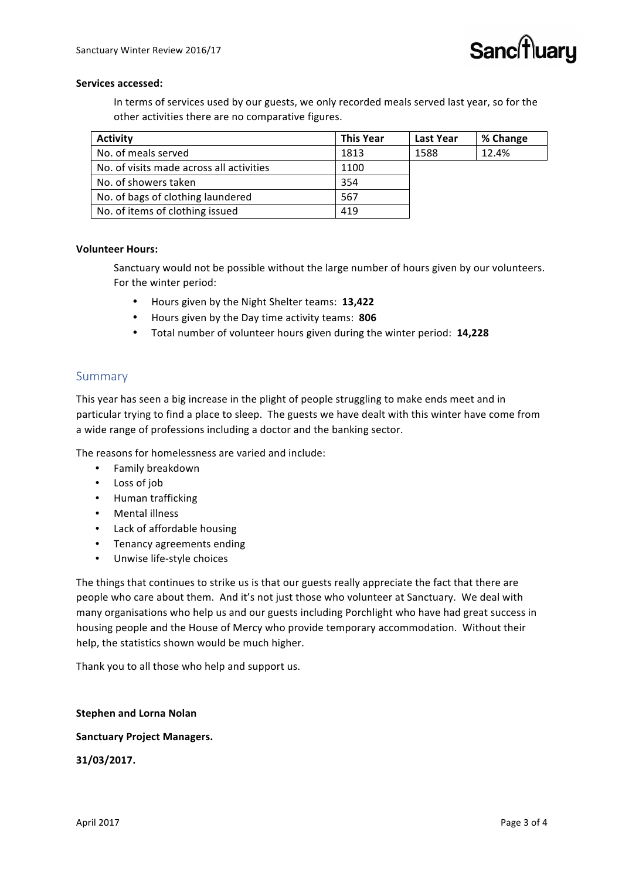#### Services accessed:

In terms of services used by our guests, we only recorded meals served last year, so for the other activities there are no comparative figures.

| <b>Activity</b>                          | <b>This Year</b> | Last Year | % Change |
|------------------------------------------|------------------|-----------|----------|
| No. of meals served                      | 1813             | 1588      | 12.4%    |
| No. of visits made across all activities | 1100             |           |          |
| No. of showers taken                     | 354              |           |          |
| No. of bags of clothing laundered        | 567              |           |          |
| No. of items of clothing issued          | 419              |           |          |

#### **Volunteer Hours:**

Sanctuary would not be possible without the large number of hours given by our volunteers. For the winter period:

- Hours given by the Night Shelter teams: **13,422**
- Hours given by the Day time activity teams: **806**
- Total number of volunteer hours given during the winter period: **14,228**

### Summary

This year has seen a big increase in the plight of people struggling to make ends meet and in particular trying to find a place to sleep. The guests we have dealt with this winter have come from a wide range of professions including a doctor and the banking sector.

The reasons for homelessness are varied and include:

- Family breakdown
- Loss of job
- Human trafficking
- Mental illness
- Lack of affordable housing
- Tenancy agreements ending
- Unwise life-style choices

The things that continues to strike us is that our guests really appreciate the fact that there are people who care about them. And it's not just those who volunteer at Sanctuary. We deal with many organisations who help us and our guests including Porchlight who have had great success in housing people and the House of Mercy who provide temporary accommodation. Without their help, the statistics shown would be much higher.

Thank you to all those who help and support us.

#### **Stephen and Lorna Nolan**

#### **Sanctuary Project Managers.**

**31/03/2017.**